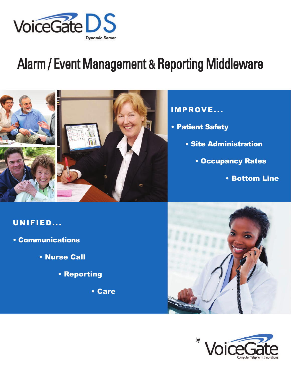

# Alarm / Event Management & Reporting Middleware



## IMPROVE...

- Patient Safety
	- Site Administration
		- Occupancy Rates
			- Bottom Line

## UNIFIED...

- Communications
	- Nurse Call
		- Reporting
			- Care



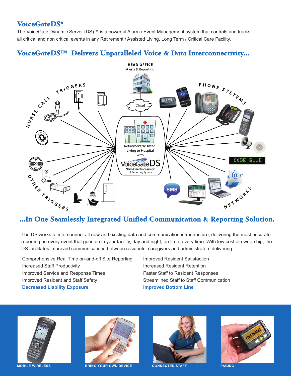#### **VoiceGateDS\***

The VoiceGate Dynamic Server (DS)™ is a powerful Alarm / Event Management system that controls and tracks all critical and non critical events in any Retirement / Assisted Living, Long Term / Critical Care Facility.

#### **VoiceGateDS™ Delivers Unparalleled Voice & Data Interconnectivity...**



#### **...In One Seamlessly Integrated Unified Communication & Reporting Solution.**

The DS works to interconnect all new and existing data and communication infrastructure, delivering the most accurate reporting on every event that goes on in your facility, day and night, on time, every time. With low cost of ownership, the DS facilitates improved communications between residents, caregivers and administrators delivering:

Comprehensive Real Time on-and-off Site Reporting Increased Staff Productivity Improved Service and Response Times Improved Resident and Staff Safety **Decreased Liability Exposure**

Improved Resident Satisfaction Increased Resident Retention Faster Staff to Resident Responses Streamlined Staff to Staff Communication **Improved Bottom Line**





**MOBILE WIRELESS BRING YOUR OWN DEVICE CONNECTED STAFF PAGING**



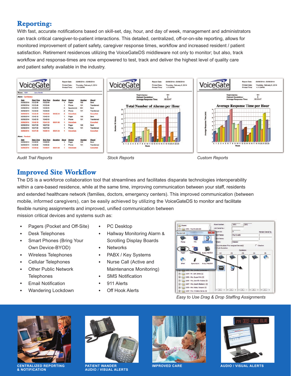## **Reporting:**

With fast, accurate notifications based on skill-set, day, hour, and day of week, management and administrators can track critical caregiver-to-patient interactions. This detailed, centralized, off-or-on-site reporting, allows for monitored improvement of patient safety, caregiver response times, workflow and increased resident / patient satisfaction. Retirement residences utilizing the VoiceGateDS middleware not only to monitor; but also, track workflow and response-times are now empowered to test, track and deliver the highest level of quality care and patient safety available in the industry.



## **Improved Site Workflow**

The DS is a workforce collaboration tool that streamlines and facilitates disparate technologies interoperability within a care-based residence, while at the same time, improving communication between your staff, residents and extended healthcare network (families, doctors, emergency centers). This improved communication (between mobile, informed caregivers), can be easily achieved by utilizing the VoiceGateDS to monitor and facilitate flexible nursing assignments and improved, unified communication between mission critical devices and systems such as:

- Pagers (Pocket and Off-Site)
- Desk Telephones
- Smart Phones (Bring Your Own Device-BYOD)
- Wireless Telephones
- Cellular Telephones
- **Other Public Network Telephones**
- Email Notification
- Wandering Lockdown
- PC Desktop
- Hallway Monitoring Alarm & Scrolling Display Boards
- Networks
- PABX / Key Systems
- Nurse Call (Active and Maintenance Monitoring)
- **SMS Notification**
- 911 Alerts
- **Off Hook Alerts**



*Easy to Use Drag & Drop Staffing Assignments*



**CENTRALIZED REPORTING PATIENT WANDER IMPROVED CARE AUDIO / VISUAL ALERTS** 



**& NOTIFICATION AUDIO / VISUAL ALERTS**